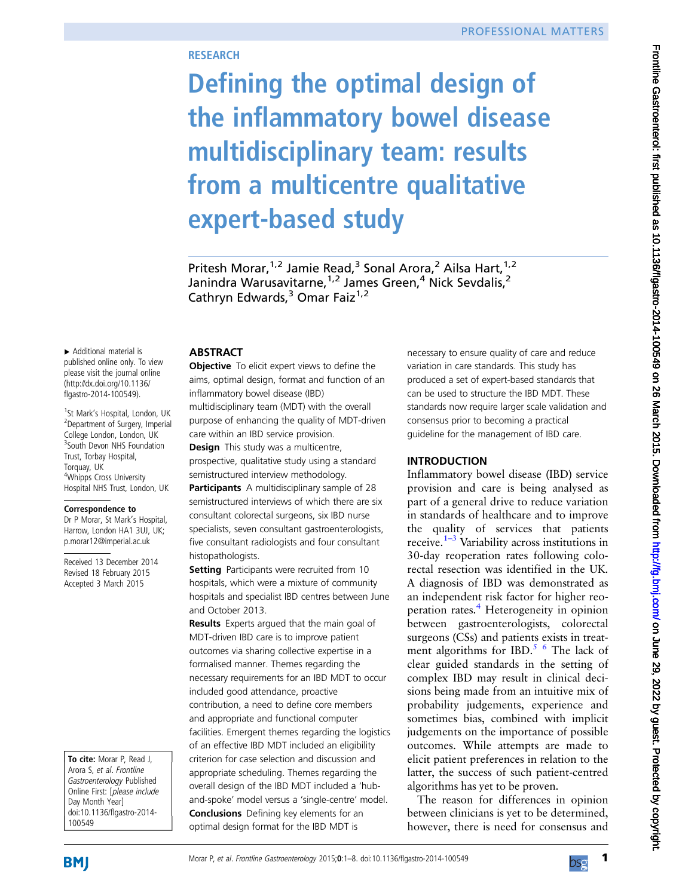# **RESEARCH**

Defining the optimal design of the inflammatory bowel disease multidisciplinary team: results from a multicentre qualitative expert-based study

Pritesh Morar,  $1,2$  Jamie Read, <sup>3</sup> Sonal Arora, <sup>2</sup> Ailsa Hart,  $1,2$ Janindra Warusavitarne, <sup>1,2</sup> James Green, <sup>4</sup> Nick Sevdalis, <sup>2</sup> Cathryn Edwards,<sup>3</sup> Omar Faiz<sup>1,2</sup>

▸ Additional material is published online only. To view please visit the journal online ([http://dx.doi.org/10.1136/](http://dx.doi.org/10.1136/flgastro-2014-100549) [flgastro-2014-100549\)](http://dx.doi.org/10.1136/flgastro-2014-100549).

<sup>1</sup>St Mark's Hospital, London, UK<br><sup>2</sup>Denartment of Surgery, Imperia Department of Surgery, Imperial College London, London, UK 3 South Devon NHS Foundation Trust, Torbay Hospital, Torquay, UK 4 Whipps Cross University Hospital NHS Trust, London, UK

#### Correspondence to

Dr P Morar, St Mark's Hospital, Harrow, London HA1 3UJ, UK; p.morar12@imperial.ac.uk

Received 13 December 2014 Revised 18 February 2015 Accepted 3 March 2015

To cite: Morar P, Read J, Arora S, et al. Frontline Gastroenterology Published Online First: [please include Day Month Year] doi:10.1136/flgastro-2014- 100549

### ABSTRACT

**Objective** To elicit expert views to define the aims, optimal design, format and function of an inflammatory bowel disease (IBD) multidisciplinary team (MDT) with the overall purpose of enhancing the quality of MDT-driven care within an IBD service provision. **Design** This study was a multicentre, prospective, qualitative study using a standard semistructured interview methodology. Participants A multidisciplinary sample of 28 semistructured interviews of which there are six consultant colorectal surgeons, six IBD nurse specialists, seven consultant gastroenterologists, five consultant radiologists and four consultant histopathologists.

**Setting** Participants were recruited from 10 hospitals, which were a mixture of community hospitals and specialist IBD centres between June and October 2013.

Results Experts argued that the main goal of MDT-driven IBD care is to improve patient outcomes via sharing collective expertise in a formalised manner. Themes regarding the necessary requirements for an IBD MDT to occur included good attendance, proactive contribution, a need to define core members and appropriate and functional computer facilities. Emergent themes regarding the logistics of an effective IBD MDT included an eligibility criterion for case selection and discussion and appropriate scheduling. Themes regarding the overall design of the IBD MDT included a 'huband-spoke' model versus a 'single-centre' model. Conclusions Defining key elements for an optimal design format for the IBD MDT is

necessary to ensure quality of care and reduce variation in care standards. This study has produced a set of expert-based standards that can be used to structure the IBD MDT. These standards now require larger scale validation and consensus prior to becoming a practical guideline for the management of IBD care.

### INTRODUCTION

Inflammatory bowel disease (IBD) service provision and care is being analysed as part of a general drive to reduce variation in standards of healthcare and to improve the q[ualit](#page-6-0)y of services that patients receive.<sup>1–3</sup> Variability across institutions in 30-day reoperation rates following colorectal resection was identified in the UK. A diagnosis of IBD was demonstrated as an independent risk factor for higher reoperation rates.[4](#page-6-0) Heterogeneity in opinion between gastroenterologists, colorectal surgeons (CSs) and patients exists in treat-ment algorithms for IBD.<sup>[5 6](#page-6-0)</sup> The lack of clear guided standards in the setting of complex IBD may result in clinical decisions being made from an intuitive mix of probability judgements, experience and sometimes bias, combined with implicit judgements on the importance of possible outcomes. While attempts are made to elicit patient preferences in relation to the latter, the success of such patient-centred algorithms has yet to be proven.

The reason for differences in opinion between clinicians is yet to be determined, however, there is need for consensus and

**BMJ**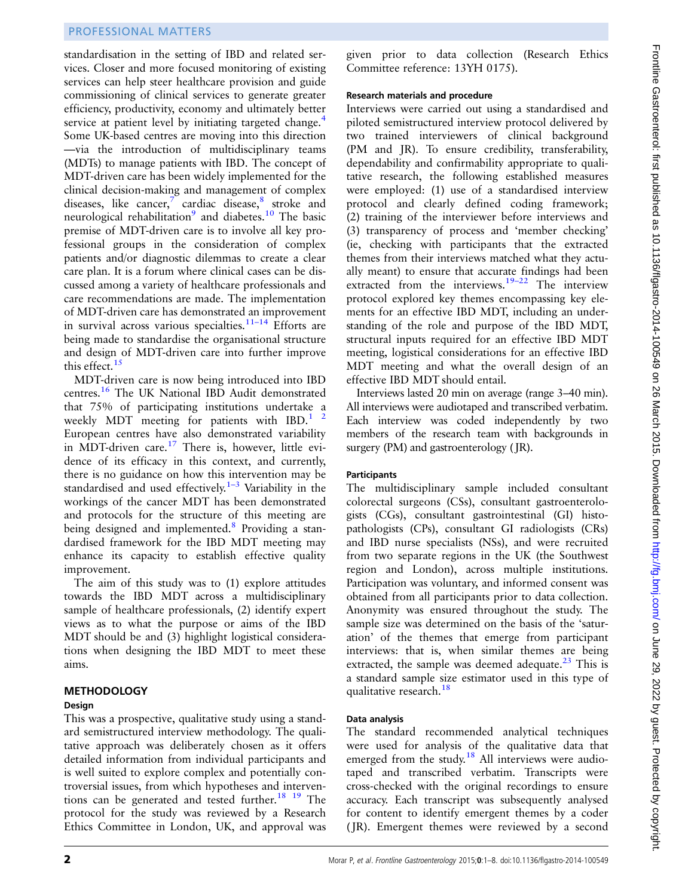## PROFESSIONAL MATTERS

standardisation in the setting of IBD and related services. Closer and more focused monitoring of existing services can help steer healthcare provision and guide commissioning of clinical services to generate greater efficiency, productivity, economy and ultimately better service at patient level by initiating targeted change.<sup>[4](#page-6-0)</sup> Some UK-based centres are moving into this direction —via the introduction of multidisciplinary teams (MDTs) to manage patients with IBD. The concept of MDT-driven care has been widely implemented for the clinical decision-making and management of complex diseases, like cancer, $\frac{7}{7}$  $\frac{7}{7}$  $\frac{7}{7}$  cardiac disease, $\frac{8}{7}$  $\frac{8}{7}$  $\frac{8}{7}$  stroke and neurological rehabilitation $9$  and diabetes.<sup>[10](#page-6-0)</sup> The basic premise of MDT-driven care is to involve all key professional groups in the consideration of complex patients and/or diagnostic dilemmas to create a clear care plan. It is a forum where clinical cases can be discussed among a variety of healthcare professionals and care recommendations are made. The implementation of MDT-driven care has demonstrated an improvement in survival across various specialties.<sup>[11](#page-6-0)–14</sup> Efforts are being made to standardise the organisational structure and design of MDT-driven care into further improve this effect.  $15$ 

MDT-driven care is now being introduced into IBD centres.[16](#page-6-0) The UK National IBD Audit demonstrated that 75% of participating institutions undertake a weekly MDT meeting for patients with  $IBD<sup>1</sup>$ European centres have also demonstrated variability in MDT-driven care.<sup>17</sup> There is, however, little evidence of its efficacy in this context, and currently, there is no guidance on how this intervention may be standardised and used effectively.<sup>[1](#page-6-0)–3</sup> Variability in the workings of the cancer MDT has been demonstrated and protocols for the structure of this meeting are being designed and implemented.<sup>[8](#page-6-0)</sup> Providing a standardised framework for the IBD MDT meeting may enhance its capacity to establish effective quality improvement.

The aim of this study was to (1) explore attitudes towards the IBD MDT across a multidisciplinary sample of healthcare professionals, (2) identify expert views as to what the purpose or aims of the IBD MDT should be and (3) highlight logistical considerations when designing the IBD MDT to meet these aims.

### METHODOLOGY

### Design

This was a prospective, qualitative study using a standard semistructured interview methodology. The qualitative approach was deliberately chosen as it offers detailed information from individual participants and is well suited to explore complex and potentially controversial issues, from which hypotheses and interventions can be generated and tested further.<sup>18 19</sup> The protocol for the study was reviewed by a Research Ethics Committee in London, UK, and approval was

given prior to data collection (Research Ethics Committee reference: 13YH 0175).

#### Research materials and procedure

Interviews were carried out using a standardised and piloted semistructured interview protocol delivered by two trained interviewers of clinical background (PM and JR). To ensure credibility, transferability, dependability and confirmability appropriate to qualitative research, the following established measures were employed: (1) use of a standardised interview protocol and clearly defined coding framework; (2) training of the interviewer before interviews and (3) transparency of process and 'member checking' (ie, checking with participants that the extracted themes from their interviews matched what they actually meant) to ensure that accurate findings had been extracted from the interviews.<sup>[19](#page-7-0)–22</sup> The interview protocol explored key themes encompassing key elements for an effective IBD MDT, including an understanding of the role and purpose of the IBD MDT, structural inputs required for an effective IBD MDT meeting, logistical considerations for an effective IBD MDT meeting and what the overall design of an effective IBD MDT should entail.

Interviews lasted 20 min on average (range 3–40 min). All interviews were audiotaped and transcribed verbatim. Each interview was coded independently by two members of the research team with backgrounds in surgery (PM) and gastroenterology ( JR).

### **Participants**

The multidisciplinary sample included consultant colorectal surgeons (CSs), consultant gastroenterologists (CGs), consultant gastrointestinal (GI) histopathologists (CPs), consultant GI radiologists (CRs) and IBD nurse specialists (NSs), and were recruited from two separate regions in the UK (the Southwest region and London), across multiple institutions. Participation was voluntary, and informed consent was obtained from all participants prior to data collection. Anonymity was ensured throughout the study. The sample size was determined on the basis of the 'saturation' of the themes that emerge from participant interviews: that is, when similar themes are being extracted, the sample was deemed adequate.<sup>23</sup> This is a standard sample size estimator used in this type of qualitative research.<sup>[18](#page-7-0)</sup>

### Data analysis

The standard recommended analytical techniques were used for analysis of the qualitative data that emerged from the study.<sup>[18](#page-7-0)</sup> All interviews were audiotaped and transcribed verbatim. Transcripts were cross-checked with the original recordings to ensure accuracy. Each transcript was subsequently analysed for content to identify emergent themes by a coder ( JR). Emergent themes were reviewed by a second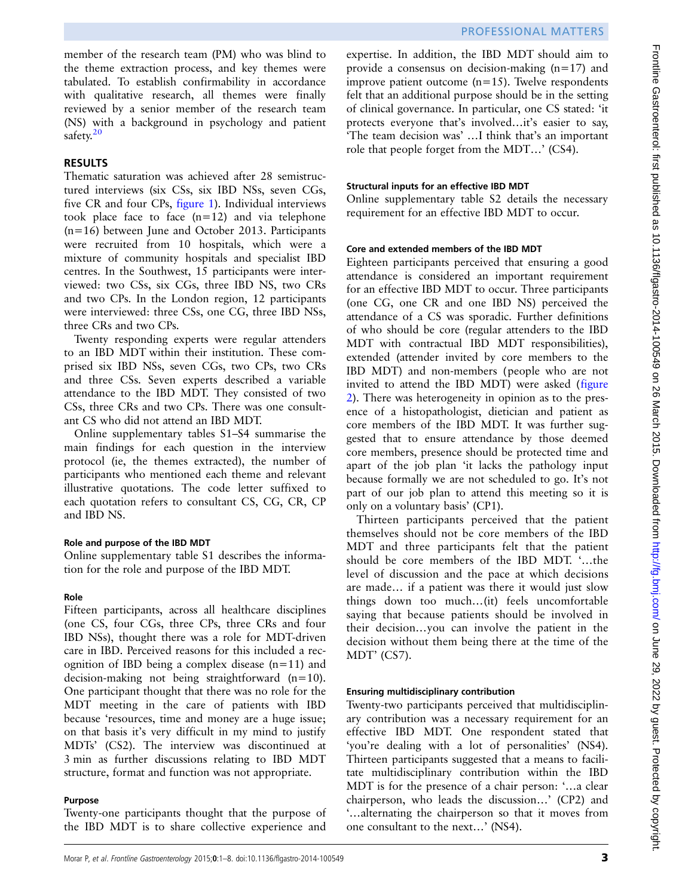member of the research team (PM) who was blind to the theme extraction process, and key themes were tabulated. To establish confirmability in accordance with qualitative research, all themes were finally reviewed by a senior member of the research team (NS) with a background in psychology and patient safety.<sup>[20](#page-7-0)</sup>

## RESULTS

Thematic saturation was achieved after 28 semistructured interviews (six CSs, six IBD NSs, seven CGs, five CR and four CPs, [figure 1\)](#page-3-0). Individual interviews took place face to face (n=12) and via telephone (n=16) between June and October 2013. Participants were recruited from 10 hospitals, which were a mixture of community hospitals and specialist IBD centres. In the Southwest, 15 participants were interviewed: two CSs, six CGs, three IBD NS, two CRs and two CPs. In the London region, 12 participants were interviewed: three CSs, one CG, three IBD NSs, three CRs and two CPs.

Twenty responding experts were regular attenders to an IBD MDT within their institution. These comprised six IBD NSs, seven CGs, two CPs, two CRs and three CSs. Seven experts described a variable attendance to the IBD MDT. They consisted of two CSs, three CRs and two CPs. There was one consultant CS who did not attend an IBD MDT.

Online supplementary tables S1–S4 summarise the main findings for each question in the interview protocol (ie, the themes extracted), the number of participants who mentioned each theme and relevant illustrative quotations. The code letter suffixed to each quotation refers to consultant CS, CG, CR, CP and IBD NS.

## Role and purpose of the IBD MDT

Online supplementary table S1 describes the information for the role and purpose of the IBD MDT.

## Role

Fifteen participants, across all healthcare disciplines (one CS, four CGs, three CPs, three CRs and four IBD NSs), thought there was a role for MDT-driven care in IBD. Perceived reasons for this included a recognition of IBD being a complex disease (n=11) and decision-making not being straightforward (n=10). One participant thought that there was no role for the MDT meeting in the care of patients with IBD because 'resources, time and money are a huge issue; on that basis it's very difficult in my mind to justify MDTs' (CS2). The interview was discontinued at 3 min as further discussions relating to IBD MDT structure, format and function was not appropriate.

## Purpose

Twenty-one participants thought that the purpose of the IBD MDT is to share collective experience and

expertise. In addition, the IBD MDT should aim to provide a consensus on decision-making (n=17) and improve patient outcome  $(n=15)$ . Twelve respondents felt that an additional purpose should be in the setting of clinical governance. In particular, one CS stated: 'it protects everyone that's involved…it's easier to say, 'The team decision was' …I think that's an important role that people forget from the MDT…' (CS4).

## Structural inputs for an effective IBD MDT

Online supplementary table S2 details the necessary requirement for an effective IBD MDT to occur.

## Core and extended members of the IBD MDT

Eighteen participants perceived that ensuring a good attendance is considered an important requirement for an effective IBD MDT to occur. Three participants (one CG, one CR and one IBD NS) perceived the attendance of a CS was sporadic. Further definitions of who should be core (regular attenders to the IBD MDT with contractual IBD MDT responsibilities), extended (attender invited by core members to the IBD MDT) and non-members (people who are not invited to attend the IBD MDT) were asked [\(figure](#page-3-0) [2](#page-3-0)). There was heterogeneity in opinion as to the presence of a histopathologist, dietician and patient as core members of the IBD MDT. It was further suggested that to ensure attendance by those deemed core members, presence should be protected time and apart of the job plan 'it lacks the pathology input because formally we are not scheduled to go. It's not part of our job plan to attend this meeting so it is only on a voluntary basis' (CP1).

Thirteen participants perceived that the patient themselves should not be core members of the IBD MDT and three participants felt that the patient should be core members of the IBD MDT. '…the level of discussion and the pace at which decisions are made… if a patient was there it would just slow things down too much…(it) feels uncomfortable saying that because patients should be involved in their decision…you can involve the patient in the decision without them being there at the time of the MDT' (CS7).

## Ensuring multidisciplinary contribution

Twenty-two participants perceived that multidisciplinary contribution was a necessary requirement for an effective IBD MDT. One respondent stated that 'you're dealing with a lot of personalities' (NS4). Thirteen participants suggested that a means to facilitate multidisciplinary contribution within the IBD MDT is for the presence of a chair person: '…a clear chairperson, who leads the discussion…' (CP2) and '…alternating the chairperson so that it moves from one consultant to the next…' (NS4).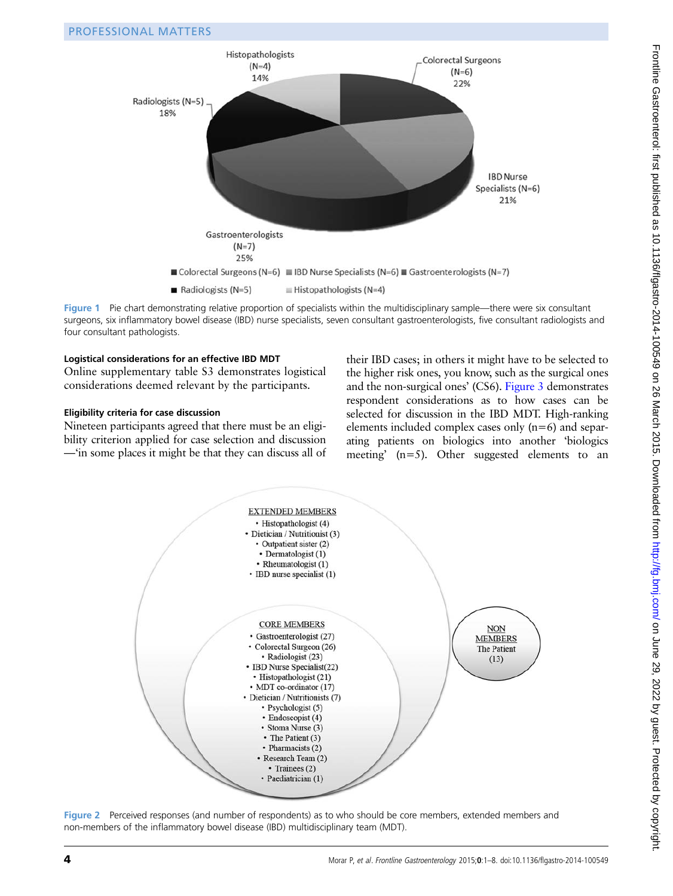<span id="page-3-0"></span>

Figure 1 Pie chart demonstrating relative proportion of specialists within the multidisciplinary sample—there were six consultant surgeons, six inflammatory bowel disease (IBD) nurse specialists, seven consultant gastroenterologists, five consultant radiologists and four consultant pathologists.

#### Logistical considerations for an effective IBD MDT

Online supplementary table S3 demonstrates logistical considerations deemed relevant by the participants.

### Eligibility criteria for case discussion

Nineteen participants agreed that there must be an eligibility criterion applied for case selection and discussion —'in some places it might be that they can discuss all of their IBD cases; in others it might have to be selected to the higher risk ones, you know, such as the surgical ones and the non-surgical ones' (CS6). [Figure 3](#page-4-0) demonstrates respondent considerations as to how cases can be selected for discussion in the IBD MDT. High-ranking elements included complex cases only (n=6) and separating patients on biologics into another 'biologics meeting' (n=5). Other suggested elements to an



Figure 2 Perceived responses (and number of respondents) as to who should be core members, extended members and non-members of the inflammatory bowel disease (IBD) multidisciplinary team (MDT).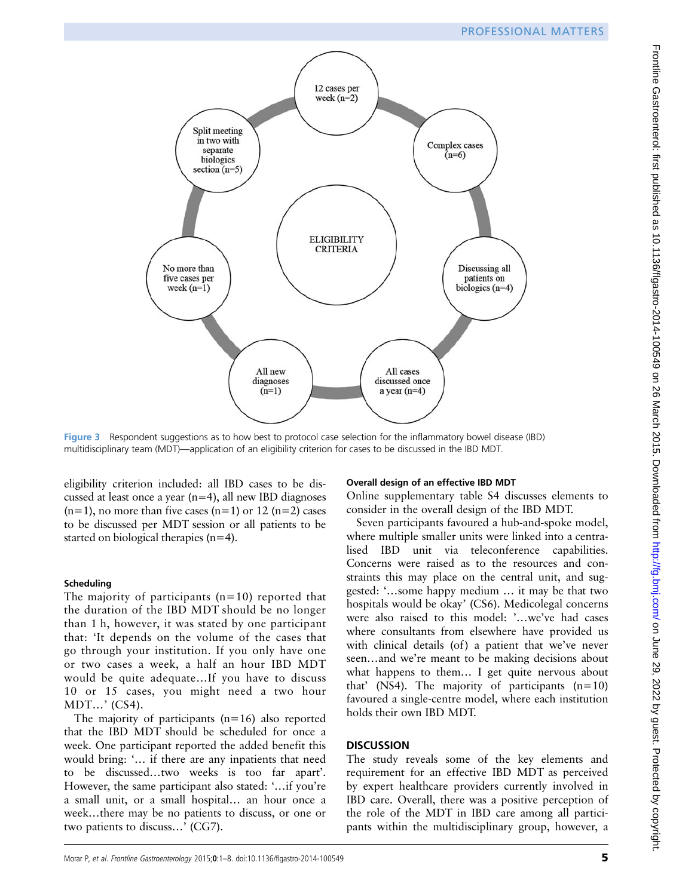<span id="page-4-0"></span>

Figure 3 Respondent suggestions as to how best to protocol case selection for the inflammatory bowel disease (IBD) multidisciplinary team (MDT)—application of an eligibility criterion for cases to be discussed in the IBD MDT.

eligibility criterion included: all IBD cases to be discussed at least once a year (n=4), all new IBD diagnoses  $(n=1)$ , no more than five cases  $(n=1)$  or 12  $(n=2)$  cases to be discussed per MDT session or all patients to be started on biological therapies (n=4).

## Scheduling

The majority of participants  $(n=10)$  reported that the duration of the IBD MDT should be no longer than 1 h, however, it was stated by one participant that: 'It depends on the volume of the cases that go through your institution. If you only have one or two cases a week, a half an hour IBD MDT would be quite adequate…If you have to discuss 10 or 15 cases, you might need a two hour MDT…' (CS4).

The majority of participants  $(n=16)$  also reported that the IBD MDT should be scheduled for once a week. One participant reported the added benefit this would bring: '… if there are any inpatients that need to be discussed…two weeks is too far apart'. However, the same participant also stated: '…if you're a small unit, or a small hospital… an hour once a week…there may be no patients to discuss, or one or two patients to discuss…' (CG7).

## Overall design of an effective IBD MDT

Online supplementary table S4 discusses elements to consider in the overall design of the IBD MDT.

Seven participants favoured a hub-and-spoke model, where multiple smaller units were linked into a centralised IBD unit via teleconference capabilities. Concerns were raised as to the resources and constraints this may place on the central unit, and suggested: '…some happy medium … it may be that two hospitals would be okay' (CS6). Medicolegal concerns were also raised to this model: '…we've had cases where consultants from elsewhere have provided us with clinical details (of) a patient that we've never seen…and we're meant to be making decisions about what happens to them… I get quite nervous about that' (NS4). The majority of participants  $(n=10)$ favoured a single-centre model, where each institution holds their own IBD MDT.

## **DISCUSSION**

The study reveals some of the key elements and requirement for an effective IBD MDT as perceived by expert healthcare providers currently involved in IBD care. Overall, there was a positive perception of the role of the MDT in IBD care among all participants within the multidisciplinary group, however, a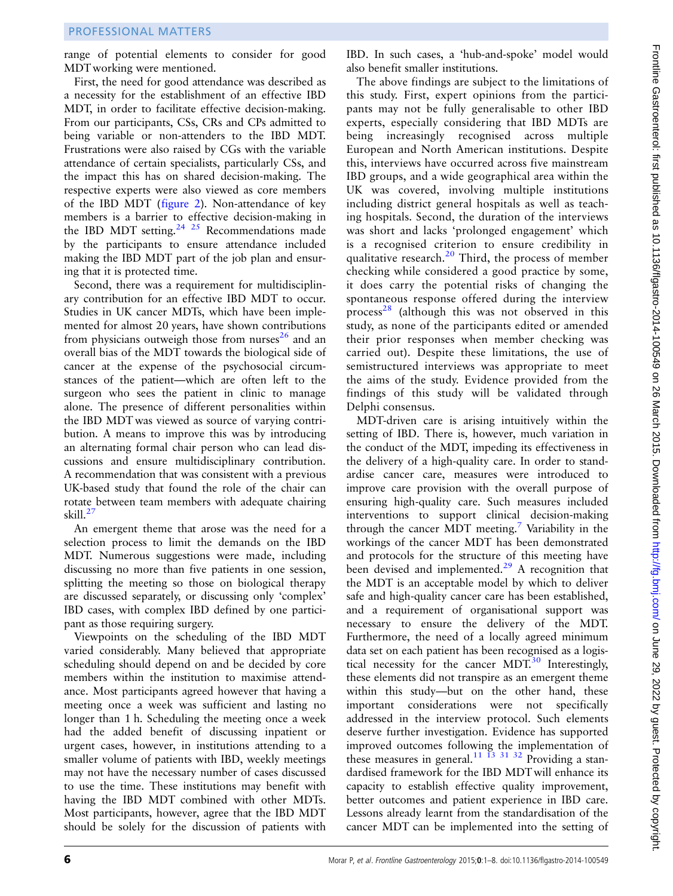## PROFESSIONAL MATTERS

range of potential elements to consider for good MDTworking were mentioned.

First, the need for good attendance was described as a necessity for the establishment of an effective IBD MDT, in order to facilitate effective decision-making. From our participants, CSs, CRs and CPs admitted to being variable or non-attenders to the IBD MDT. Frustrations were also raised by CGs with the variable attendance of certain specialists, particularly CSs, and the impact this has on shared decision-making. The respective experts were also viewed as core members of the IBD MDT [\(figure 2\)](#page-3-0). Non-attendance of key members is a barrier to effective decision-making in the IBD MDT setting. $24 \frac{25}{5}$  Recommendations made by the participants to ensure attendance included making the IBD MDT part of the job plan and ensuring that it is protected time.

Second, there was a requirement for multidisciplinary contribution for an effective IBD MDT to occur. Studies in UK cancer MDTs, which have been implemented for almost 20 years, have shown contributions from physicians outweigh those from nurses $^{26}$  $^{26}$  $^{26}$  and an overall bias of the MDT towards the biological side of cancer at the expense of the psychosocial circumstances of the patient—which are often left to the surgeon who sees the patient in clinic to manage alone. The presence of different personalities within the IBD MDT was viewed as source of varying contribution. A means to improve this was by introducing an alternating formal chair person who can lead discussions and ensure multidisciplinary contribution. A recommendation that was consistent with a previous UK-based study that found the role of the chair can rotate between team members with adequate chairing skill.[27](#page-7-0)

An emergent theme that arose was the need for a selection process to limit the demands on the IBD MDT. Numerous suggestions were made, including discussing no more than five patients in one session, splitting the meeting so those on biological therapy are discussed separately, or discussing only 'complex' IBD cases, with complex IBD defined by one participant as those requiring surgery.

Viewpoints on the scheduling of the IBD MDT varied considerably. Many believed that appropriate scheduling should depend on and be decided by core members within the institution to maximise attendance. Most participants agreed however that having a meeting once a week was sufficient and lasting no longer than 1 h. Scheduling the meeting once a week had the added benefit of discussing inpatient or urgent cases, however, in institutions attending to a smaller volume of patients with IBD, weekly meetings may not have the necessary number of cases discussed to use the time. These institutions may benefit with having the IBD MDT combined with other MDTs. Most participants, however, agree that the IBD MDT should be solely for the discussion of patients with

IBD. In such cases, a 'hub-and-spoke' model would also benefit smaller institutions.

The above findings are subject to the limitations of this study. First, expert opinions from the participants may not be fully generalisable to other IBD experts, especially considering that IBD MDTs are being increasingly recognised across multiple European and North American institutions. Despite this, interviews have occurred across five mainstream IBD groups, and a wide geographical area within the UK was covered, involving multiple institutions including district general hospitals as well as teaching hospitals. Second, the duration of the interviews was short and lacks 'prolonged engagement' which is a recognised criterion to ensure credibility in qualitative research. $^{20}$  $^{20}$  $^{20}$  Third, the process of member checking while considered a good practice by some, it does carry the potential risks of changing the spontaneous response offered during the interview process<sup>[28](#page-7-0)</sup> (although this was not observed in this study, as none of the participants edited or amended their prior responses when member checking was carried out). Despite these limitations, the use of semistructured interviews was appropriate to meet the aims of the study. Evidence provided from the findings of this study will be validated through Delphi consensus.

MDT-driven care is arising intuitively within the setting of IBD. There is, however, much variation in the conduct of the MDT, impeding its effectiveness in the delivery of a high-quality care. In order to standardise cancer care, measures were introduced to improve care provision with the overall purpose of ensuring high-quality care. Such measures included interventions to support clinical decision-making through the cancer MDT meeting.<sup>[7](#page-6-0)</sup> Variability in the workings of the cancer MDT has been demonstrated and protocols for the structure of this meeting have been devised and implemented. $29$  A recognition that the MDT is an acceptable model by which to deliver safe and high-quality cancer care has been established, and a requirement of organisational support was necessary to ensure the delivery of the MDT. Furthermore, the need of a locally agreed minimum data set on each patient has been recognised as a logistical necessity for the cancer MDT. $30$  Interestingly, these elements did not transpire as an emergent theme within this study—but on the other hand, these important considerations were not specifically addressed in the interview protocol. Such elements deserve further investigation. Evidence has supported improved outcomes following the implementation of these measures in general.<sup>[11 13](#page-6-0) [31 32](#page-7-0)</sup> Providing a standardised framework for the IBD MDT will enhance its capacity to establish effective quality improvement, better outcomes and patient experience in IBD care. Lessons already learnt from the standardisation of the cancer MDT can be implemented into the setting of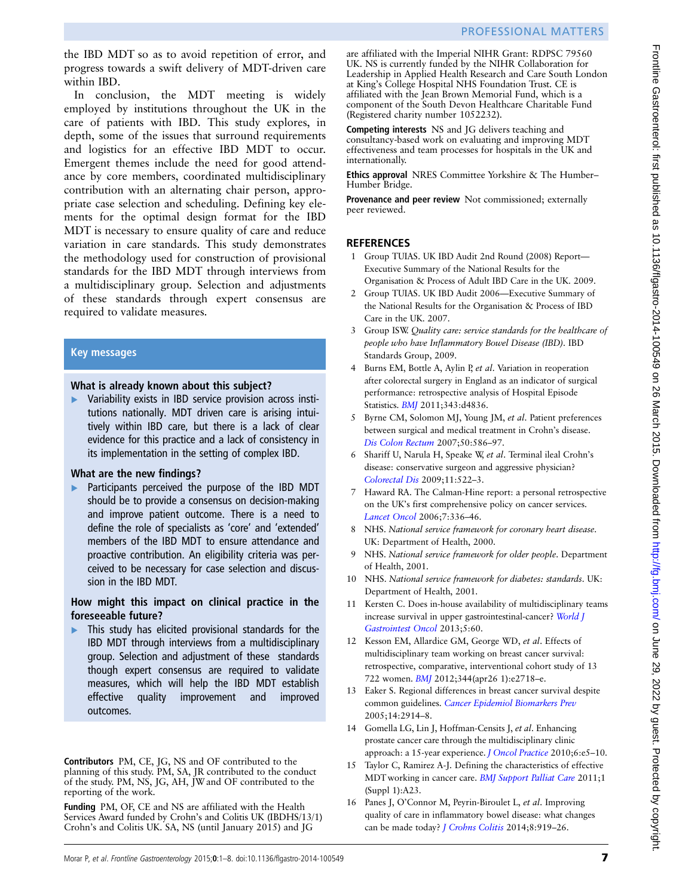<span id="page-6-0"></span>the IBD MDT so as to avoid repetition of error, and progress towards a swift delivery of MDT-driven care within IBD.

In conclusion, the MDT meeting is widely employed by institutions throughout the UK in the care of patients with IBD. This study explores, in depth, some of the issues that surround requirements and logistics for an effective IBD MDT to occur. Emergent themes include the need for good attendance by core members, coordinated multidisciplinary contribution with an alternating chair person, appropriate case selection and scheduling. Defining key elements for the optimal design format for the IBD MDT is necessary to ensure quality of care and reduce variation in care standards. This study demonstrates the methodology used for construction of provisional standards for the IBD MDT through interviews from a multidisciplinary group. Selection and adjustments of these standards through expert consensus are required to validate measures.

## Key messages

## What is already known about this subject?

▸ Variability exists in IBD service provision across institutions nationally. MDT driven care is arising intuitively within IBD care, but there is a lack of clear evidence for this practice and a lack of consistency in its implementation in the setting of complex IBD.

## What are the new findings?

Participants perceived the purpose of the IBD MDT should be to provide a consensus on decision-making and improve patient outcome. There is a need to define the role of specialists as 'core' and 'extended' members of the IBD MDT to ensure attendance and proactive contribution. An eligibility criteria was perceived to be necessary for case selection and discussion in the IBD MDT.

## How might this impact on clinical practice in the foreseeable future?

▸ This study has elicited provisional standards for the IBD MDT through interviews from a multidisciplinary group. Selection and adjustment of these standards though expert consensus are required to validate measures, which will help the IBD MDT establish effective quality improvement and improved outcomes.

Contributors PM, CE, JG, NS and OF contributed to the planning of this study. PM, SA, JR contributed to the conduct of the study. PM, NS, JG, AH, JW and OF contributed to the reporting of the work.

Funding PM, OF, CE and NS are affiliated with the Health Services Award funded by Crohn's and Colitis UK (IBDHS/13/1) Crohn's and Colitis UK. SA, NS (until January 2015) and JG

are affiliated with the Imperial NIHR Grant: RDPSC 79560 UK. NS is currently funded by the NIHR Collaboration for Leadership in Applied Health Research and Care South London at King's College Hospital NHS Foundation Trust. CE is affiliated with the Jean Brown Memorial Fund, which is a component of the South Devon Healthcare Charitable Fund (Registered charity number 1052232).

Competing interests NS and JG delivers teaching and consultancy-based work on evaluating and improving MDT effectiveness and team processes for hospitals in the UK and internationally.

Ethics approval NRES Committee Yorkshire & The Humber– Humber Bridge.

Provenance and peer review Not commissioned; externally peer reviewed.

# **REFERENCES**

- 1 Group TUIAS. UK IBD Audit 2nd Round (2008) Report— Executive Summary of the National Results for the Organisation & Process of Adult IBD Care in the UK. 2009.
- 2 Group TUIAS. UK IBD Audit 2006—Executive Summary of the National Results for the Organisation & Process of IBD Care in the UK. 2007.
- 3 Group ISW. Quality care: service standards for the healthcare of people who have Inflammatory Bowel Disease (IBD). IBD Standards Group, 2009.
- 4 Burns EM, Bottle A, Aylin P, et al. Variation in reoperation after colorectal surgery in England as an indicator of surgical performance: retrospective analysis of Hospital Episode Statistics. [BMJ](http://dx.doi.org/10.1136/bmj.d4836) 2011;343:d4836.
- 5 Byrne CM, Solomon MJ, Young JM, et al. Patient preferences between surgical and medical treatment in Crohn's disease. [Dis Colon Rectum](http://dx.doi.org/10.1007/s10350-006-0847-0) 2007;50:586–97.
- 6 Shariff U, Narula H, Speake W, et al. Terminal ileal Crohn's disease: conservative surgeon and aggressive physician? [Colorectal Dis](http://dx.doi.org/10.1111/j.1463-1318.2009.01820.x) 2009;11:522–3.
- 7 Haward RA. The Calman-Hine report: a personal retrospective on the UK's first comprehensive policy on cancer services. [Lancet Oncol](http://dx.doi.org/10.1016/S1470-2045(06)70659-3) 2006;7:336–46.
- 8 NHS. National service framework for coronary heart disease. UK: Department of Health, 2000.
- 9 NHS. National service framework for older people. Department of Health, 2001.
- 10 NHS. National service framework for diabetes: standards. UK: Department of Health, 2001.
- 11 Kersten C. Does in-house availability of multidisciplinary teams increase survival in upper gastrointestinal-cancer? [World J](http://dx.doi.org/10.4251/wjgo.v5.i3.60) [Gastrointest Oncol](http://dx.doi.org/10.4251/wjgo.v5.i3.60) 2013;5:60.
- 12 Kesson EM, Allardice GM, George WD, et al. Effects of multidisciplinary team working on breast cancer survival: retrospective, comparative, interventional cohort study of 13 722 women. [BMJ](http://dx.doi.org/10.1136/bmj.e2718) 2012;344(apr26 1):e2718–e.
- 13 Eaker S. Regional differences in breast cancer survival despite common guidelines. [Cancer Epidemiol Biomarkers Prev](http://dx.doi.org/10.1158/1055-9965.EPI-05-0317) 2005;14:2914–8.
- 14 Gomella LG, Lin J, Hoffman-Censits J, et al. Enhancing prostate cancer care through the multidisciplinary clinic approach: a 15-year experience. *[J Oncol Practice](http://dx.doi.org/10.1200/JOP.2010.000071)* 2010;6:e5-10.
- 15 Taylor C, Ramirez A-J. Defining the characteristics of effective MDTworking in cancer care. [BMJ Support Palliat Care](http://dx.doi.org/10.1136/bmjspcare-2011-000105.61) 2011;1 (Suppl 1):A23.
- 16 Panes J, O'Connor M, Peyrin-Biroulet L, et al. Improving quality of care in inflammatory bowel disease: what changes can be made today? [J Crohns Colitis](http://dx.doi.org/10.1016/j.crohns.2014.02.022) 2014;8:919-26.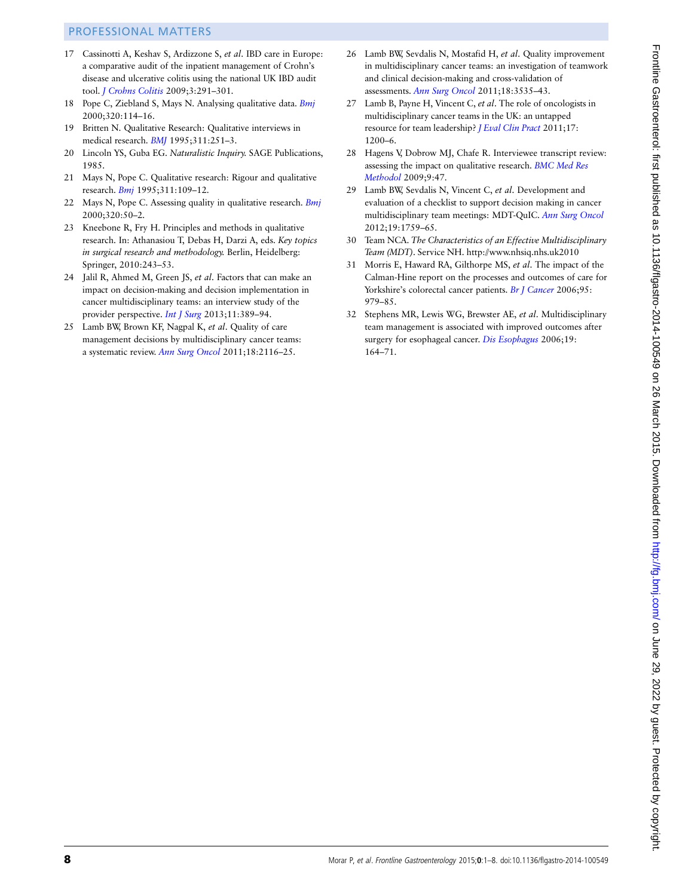## <span id="page-7-0"></span>PROFESSIONAL MATTERS

- 17 Cassinotti A, Keshav S, Ardizzone S, et al. IBD care in Europe: a comparative audit of the inpatient management of Crohn's disease and ulcerative colitis using the national UK IBD audit tool. *[J Crohns Colitis](http://dx.doi.org/10.1016/j.crohns.2009.08.002)* 2009;3:291-301.
- 18 Pope C, Ziebland S, Mays N. Analysing qualitative data. [Bmj](http://dx.doi.org/10.1136/bmj.320.7227.114) 2000;320:114–16.
- 19 Britten N. Qualitative Research: Qualitative interviews in medical research. [BMJ](http://dx.doi.org/10.1136/bmj.311.6999.251) 1995;311:251–3.
- 20 Lincoln YS, Guba EG. Naturalistic Inquiry. SAGE Publications, 1985.
- 21 Mays N, Pope C. Qualitative research: Rigour and qualitative research. **[Bmj](http://dx.doi.org/10.1136/bmj.311.6997.109)** 1995;311:109-12.
- 22 Mays N, Pope C. Assessing quality in qualitative research. [Bmj](http://dx.doi.org/10.1136/bmj.320.7226.50) 2000;320:50–2.
- 23 Kneebone R, Fry H. Principles and methods in qualitative research. In: Athanasiou T, Debas H, Darzi A, eds. Key topics in surgical research and methodology. Berlin, Heidelberg: Springer, 2010:243–53.
- 24 Jalil R, Ahmed M, Green JS, et al. Factors that can make an impact on decision-making and decision implementation in cancer multidisciplinary teams: an interview study of the provider perspective. *[Int J Surg](http://dx.doi.org/10.1016/j.ijsu.2013.02.026)* 2013;11:389-94.
- 25 Lamb BW, Brown KF, Nagpal K, et al. Quality of care management decisions by multidisciplinary cancer teams: a systematic review. [Ann Surg Oncol](http://dx.doi.org/10.1245/s10434-011-1675-6) 2011;18:2116–25.
- 26 Lamb BW, Sevdalis N, Mostafid H, et al. Quality improvement in multidisciplinary cancer teams: an investigation of teamwork and clinical decision-making and cross-validation of assessments. [Ann Surg Oncol](http://dx.doi.org/10.1245/s10434-011-1773-5) 2011;18:3535–43.
- 27 Lamb B, Payne H, Vincent C, et al. The role of oncologists in multidisciplinary cancer teams in the UK: an untapped resource for team leadership? *[J Eval Clin Pract](http://dx.doi.org/10.1111/j.1365-2753.2010.01507.x)* 2011;17: 1200–6.
- 28 Hagens V, Dobrow MJ, Chafe R. Interviewee transcript review: assessing the impact on qualitative research. [BMC Med Res](http://dx.doi.org/10.1186/1471-2288-9-47) [Methodol](http://dx.doi.org/10.1186/1471-2288-9-47) 2009;9:47.
- 29 Lamb BW, Sevdalis N, Vincent C, et al. Development and evaluation of a checklist to support decision making in cancer multidisciplinary team meetings: MDT-QuIC. [Ann Surg Oncol](http://dx.doi.org/10.1245/s10434-011-2187-0) 2012;19:1759–65.
- 30 Team NCA. The Characteristics of an Effective Multidisciplinary Team (MDT). Service NH.<http://www.nhsiq.nhs.uk2010>
- 31 Morris E, Haward RA, Gilthorpe MS, et al. The impact of the Calman-Hine report on the processes and outcomes of care for Yorkshire's colorectal cancer patients. [Br J Cancer](http://dx.doi.org/10.1038/sj.bjc.6603372) 2006;95: 979–85.
- 32 Stephens MR, Lewis WG, Brewster AE, et al. Multidisciplinary team management is associated with improved outcomes after surgery for esophageal cancer. [Dis Esophagus](http://dx.doi.org/10.1111/j.1442-2050.2006.00559.x) 2006;19: 164–71.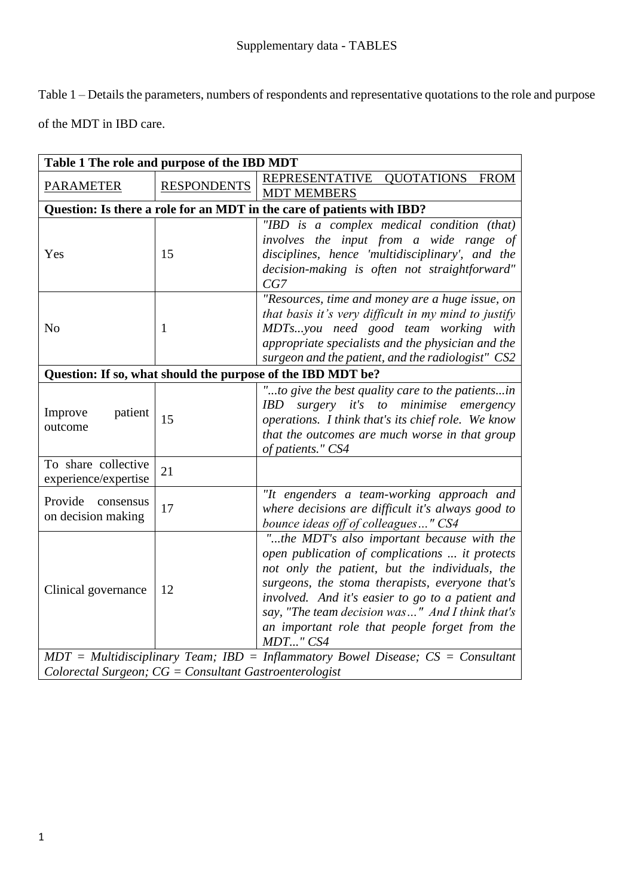Table 1 – Details the parameters, numbers of respondents and representative quotations to the role and purpose of the MDT in IBD care.

| Table 1 The role and purpose of the IBD MDT                                       |                    |                                                                        |  |  |
|-----------------------------------------------------------------------------------|--------------------|------------------------------------------------------------------------|--|--|
| <b>PARAMETER</b>                                                                  | <b>RESPONDENTS</b> | REPRESENTATIVE QUOTATIONS<br>FROM                                      |  |  |
|                                                                                   |                    | <b>MDT MEMBERS</b>                                                     |  |  |
|                                                                                   |                    | Question: Is there a role for an MDT in the care of patients with IBD? |  |  |
|                                                                                   |                    | "IBD is a complex medical condition (that)                             |  |  |
|                                                                                   |                    | involves the input from a wide range of                                |  |  |
| Yes                                                                               | 15                 | disciplines, hence 'multidisciplinary', and the                        |  |  |
|                                                                                   |                    | decision-making is often not straightforward"                          |  |  |
|                                                                                   |                    | CG7                                                                    |  |  |
|                                                                                   | 1                  | "Resources, time and money are a huge issue, on                        |  |  |
|                                                                                   |                    | that basis it's very difficult in my mind to justify                   |  |  |
| No                                                                                |                    | MDTsyou need good team working with                                    |  |  |
|                                                                                   |                    | appropriate specialists and the physician and the                      |  |  |
|                                                                                   |                    | surgeon and the patient, and the radiologist" CS2                      |  |  |
|                                                                                   |                    | Question: If so, what should the purpose of the IBD MDT be?            |  |  |
|                                                                                   |                    | "to give the best quality care to the patientsin                       |  |  |
| Improve<br>patient                                                                | 15                 | surgery it's to minimise emergency<br><b>IBD</b>                       |  |  |
| outcome                                                                           |                    | operations. I think that's its chief role. We know                     |  |  |
|                                                                                   |                    | that the outcomes are much worse in that group                         |  |  |
|                                                                                   |                    | of patients." CS4                                                      |  |  |
| To share collective                                                               | 21                 |                                                                        |  |  |
| experience/expertise                                                              |                    |                                                                        |  |  |
| Provide<br>consensus                                                              | 17                 | "It engenders a team-working approach and                              |  |  |
| on decision making                                                                |                    | where decisions are difficult it's always good to                      |  |  |
|                                                                                   |                    | bounce ideas off of colleagues" CS4                                    |  |  |
| Clinical governance                                                               | 12                 | "the MDT's also important because with the                             |  |  |
|                                                                                   |                    | open publication of complications  it protects                         |  |  |
|                                                                                   |                    | not only the patient, but the individuals, the                         |  |  |
|                                                                                   |                    | surgeons, the stoma therapists, everyone that's                        |  |  |
|                                                                                   |                    | involved. And it's easier to go to a patient and                       |  |  |
|                                                                                   |                    | say, "The team decision was" And I think that's                        |  |  |
|                                                                                   |                    | an important role that people forget from the                          |  |  |
|                                                                                   |                    | MDT" CS4                                                               |  |  |
| $MDT = Multidisciplinary Team; IBD = Inflammatory Bowel Disease; CS = Consultant$ |                    |                                                                        |  |  |
| Colorectal Surgeon; CG = Consultant Gastroenterologist                            |                    |                                                                        |  |  |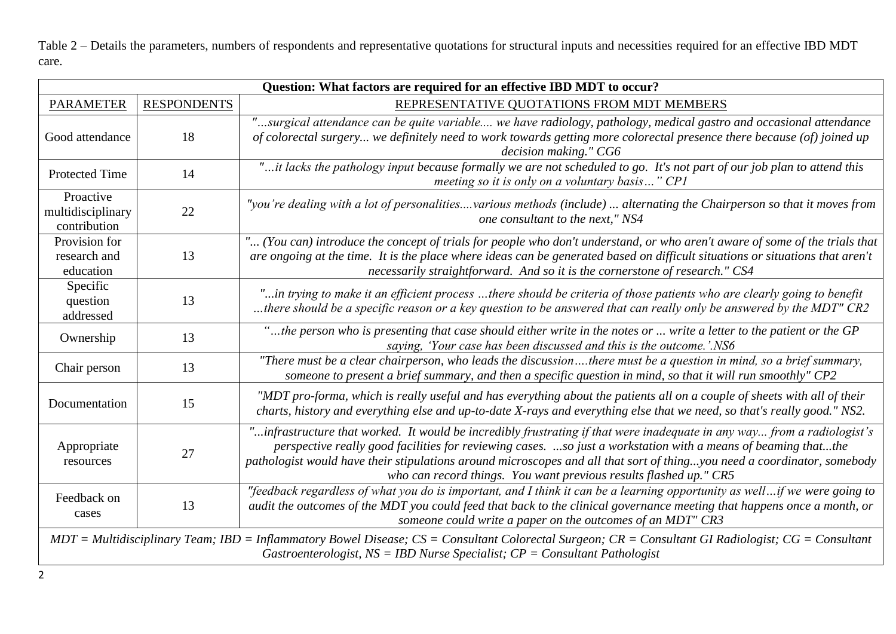Table 2 – Details the parameters, numbers of respondents and representative quotations for structural inputs and necessities required for an effective IBD MDT care.

| Question: What factors are required for an effective IBD MDT to occur?                                                                                                                                                                  |                    |                                                                                                                                                                                                                                                                                                                                                                                                                                          |  |  |
|-----------------------------------------------------------------------------------------------------------------------------------------------------------------------------------------------------------------------------------------|--------------------|------------------------------------------------------------------------------------------------------------------------------------------------------------------------------------------------------------------------------------------------------------------------------------------------------------------------------------------------------------------------------------------------------------------------------------------|--|--|
| <b>PARAMETER</b>                                                                                                                                                                                                                        | <b>RESPONDENTS</b> | REPRESENTATIVE QUOTATIONS FROM MDT MEMBERS                                                                                                                                                                                                                                                                                                                                                                                               |  |  |
| Good attendance                                                                                                                                                                                                                         | 18                 | "surgical attendance can be quite variable we have radiology, pathology, medical gastro and occasional attendance<br>of colorectal surgery we definitely need to work towards getting more colorectal presence there because (of) joined up<br>decision making." CG6                                                                                                                                                                     |  |  |
| <b>Protected Time</b>                                                                                                                                                                                                                   | 14                 | "it lacks the pathology input because formally we are not scheduled to go. It's not part of our job plan to attend this<br>meeting so it is only on a voluntary basis" CP1                                                                                                                                                                                                                                                               |  |  |
| Proactive<br>multidisciplinary<br>contribution                                                                                                                                                                                          | 22                 | "you're dealing with a lot of personalitiesvarious methods (include)  alternating the Chairperson so that it moves from<br>one consultant to the next," NS4                                                                                                                                                                                                                                                                              |  |  |
| Provision for<br>research and<br>education                                                                                                                                                                                              | 13                 | " (You can) introduce the concept of trials for people who don't understand, or who aren't aware of some of the trials that<br>are ongoing at the time. It is the place where ideas can be generated based on difficult situations or situations that aren't<br>necessarily straightforward. And so it is the cornerstone of research." CS4                                                                                              |  |  |
| Specific<br>question<br>addressed                                                                                                                                                                                                       | 13                 | "in trying to make it an efficient process there should be criteria of those patients who are clearly going to benefit<br>there should be a specific reason or a key question to be answered that can really only be answered by the MDT" CR2                                                                                                                                                                                            |  |  |
| Ownership                                                                                                                                                                                                                               | 13                 | "the person who is presenting that case should either write in the notes or  write a letter to the patient or the GP<br>saying, 'Your case has been discussed and this is the outcome.'.NS6                                                                                                                                                                                                                                              |  |  |
| Chair person                                                                                                                                                                                                                            | 13                 | "There must be a clear chairperson, who leads the discussionthere must be a question in mind, so a brief summary,<br>someone to present a brief summary, and then a specific question in mind, so that it will run smoothly" CP2                                                                                                                                                                                                         |  |  |
| Documentation                                                                                                                                                                                                                           | 15                 | "MDT pro-forma, which is really useful and has everything about the patients all on a couple of sheets with all of their<br>charts, history and everything else and up-to-date X-rays and everything else that we need, so that's really good." NS2.                                                                                                                                                                                     |  |  |
| Appropriate<br>resources                                                                                                                                                                                                                | 27                 | "infrastructure that worked. It would be incredibly frustrating if that were inadequate in any way from a radiologist's<br>perspective really good facilities for reviewing cases. so just a workstation with a means of beaming thatthe<br>pathologist would have their stipulations around microscopes and all that sort of thingyou need a coordinator, somebody<br>who can record things. You want previous results flashed up." CR5 |  |  |
| Feedback on<br>cases                                                                                                                                                                                                                    | 13                 | "feedback regardless of what you do is important, and I think it can be a learning opportunity as wellif we were going to<br>audit the outcomes of the MDT you could feed that back to the clinical governance meeting that happens once a month, or<br>someone could write a paper on the outcomes of an MDT" CR3                                                                                                                       |  |  |
| $MDT = Multidisciplinary Team; IBD = Inflammatory Bowel Disease; CS = Consultant Colorectal Surgeon; CR = Consultant GI Radiologist; CG = Consultant$<br>Gastroenterologist, $NS = IBD$ Nurse Specialist; $CP =$ Consultant Pathologist |                    |                                                                                                                                                                                                                                                                                                                                                                                                                                          |  |  |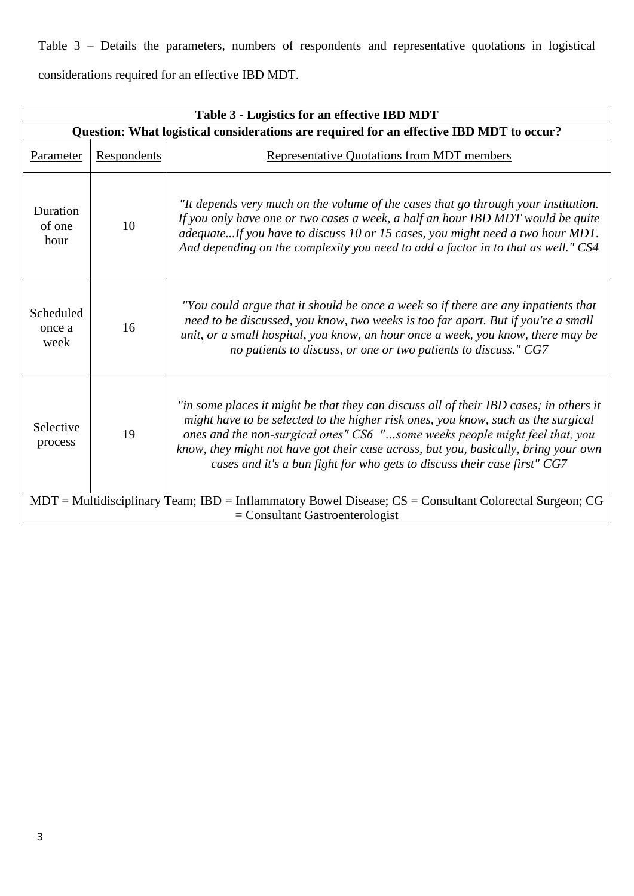Table 3 – Details the parameters, numbers of respondents and representative quotations in logistical

considerations required for an effective IBD MDT.

| Table 3 - Logistics for an effective IBD MDT                                                                                                  |             |                                                                                                                                                                                                                                                                                                                                                                                                                               |  |  |  |
|-----------------------------------------------------------------------------------------------------------------------------------------------|-------------|-------------------------------------------------------------------------------------------------------------------------------------------------------------------------------------------------------------------------------------------------------------------------------------------------------------------------------------------------------------------------------------------------------------------------------|--|--|--|
| Question: What logistical considerations are required for an effective IBD MDT to occur?                                                      |             |                                                                                                                                                                                                                                                                                                                                                                                                                               |  |  |  |
| Parameter                                                                                                                                     | Respondents | <b>Representative Quotations from MDT members</b>                                                                                                                                                                                                                                                                                                                                                                             |  |  |  |
| Duration<br>of one<br>hour                                                                                                                    | 10          | "It depends very much on the volume of the cases that go through your institution.<br>If you only have one or two cases a week, a half an hour IBD MDT would be quite<br>adequateIf you have to discuss 10 or 15 cases, you might need a two hour MDT.<br>And depending on the complexity you need to add a factor in to that as well." CS4                                                                                   |  |  |  |
| Scheduled<br>once a<br>week                                                                                                                   | 16          | "You could argue that it should be once a week so if there are any inpatients that<br>need to be discussed, you know, two weeks is too far apart. But if you're a small<br>unit, or a small hospital, you know, an hour once a week, you know, there may be<br>no patients to discuss, or one or two patients to discuss." CG7                                                                                                |  |  |  |
| Selective<br>process                                                                                                                          | 19          | "in some places it might be that they can discuss all of their IBD cases; in others it<br>might have to be selected to the higher risk ones, you know, such as the surgical<br>ones and the non-surgical ones" CS6 "some weeks people might feel that, you<br>know, they might not have got their case across, but you, basically, bring your own<br>cases and it's a bun fight for who gets to discuss their case first" CG7 |  |  |  |
| $MDT = Multidisciplinary Team; IBD = Inflammatory Bowel Disease; CS = Consultant Colorectal Surgeon; CG$<br>$=$ Consultant Gastroenterologist |             |                                                                                                                                                                                                                                                                                                                                                                                                                               |  |  |  |